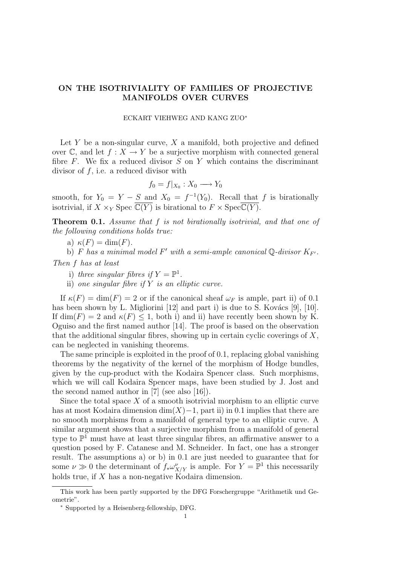# ON THE ISOTRIVIALITY OF FAMILIES OF PROJECTIVE MANIFOLDS OVER CURVES

#### ECKART VIEHWEG AND KANG ZUO<sup>∗</sup>

Let  $Y$  be a non-singular curve,  $X$  a manifold, both projective and defined over  $\mathbb{C}$ , and let  $f: X \to Y$  be a surjective morphism with connected general fibre  $F$ . We fix a reduced divisor  $S$  on  $Y$  which contains the discriminant divisor of  $f$ , i.e. a reduced divisor with

$$
f_0 = f|_{X_0} : X_0 \longrightarrow Y_0
$$

smooth, for  $Y_0 = Y - S$  and  $X_0 = f^{-1}(Y_0)$ . Recall that f is birationally isotrivial, if  $X \times_Y \text{Spec } \overline{\mathbb{C}(Y)}$  is birational to  $F \times \text{Spec } \overline{\mathbb{C}(Y)}$ .

Theorem 0.1. Assume that f is not birationally isotrivial, and that one of the following conditions holds true:

a)  $\kappa(F) = \dim(F)$ .

b) F has a minimal model F' with a semi-ample canonical Q-divisor  $K_{F'}$ .

Then f has at least

i) three singular fibres if  $Y = \mathbb{P}^1$ .

ii) one singular fibre if  $Y$  is an elliptic curve.

If  $\kappa(F) = \dim(F) = 2$  or if the canonical sheaf  $\omega_F$  is ample, part ii) of 0.1 has been shown by L. Migliorini  $[12]$  and part i) is due to S. Kovács  $[9]$ ,  $[10]$ . If  $\dim(F) = 2$  and  $\kappa(F) \leq 1$ , both i) and ii) have recently been shown by K. Oguiso and the first named author [14]. The proof is based on the observation that the additional singular fibres, showing up in certain cyclic coverings of  $X$ , can be neglected in vanishing theorems.

The same principle is exploited in the proof of 0.1, replacing global vanishing theorems by the negativity of the kernel of the morphism of Hodge bundles, given by the cup-product with the Kodaira Spencer class. Such morphisms, which we will call Kodaira Spencer maps, have been studied by J. Jost and the second named author in [7] (see also [16]).

Since the total space  $X$  of a smooth isotrivial morphism to an elliptic curve has at most Kodaira dimension  $\dim(X)-1$ , part ii) in 0.1 implies that there are no smooth morphisms from a manifold of general type to an elliptic curve. A similar argument shows that a surjective morphism from a manifold of general type to  $\mathbb{P}^1$  must have at least three singular fibres, an affirmative answer to a question posed by F. Catanese and M. Schneider. In fact, one has a stronger result. The assumptions a) or b) in 0.1 are just needed to guarantee that for some  $\nu \gg 0$  the determinant of  $f_* \omega_{X/Y}^{\nu}$  is ample. For  $Y = \mathbb{P}^1$  this necessarily holds true, if X has a non-negative Kodaira dimension.

This work has been partly supported by the DFG Forschergruppe "Arithmetik und Geometrie".

<sup>∗</sup> Supported by a Heisenberg-fellowship, DFG.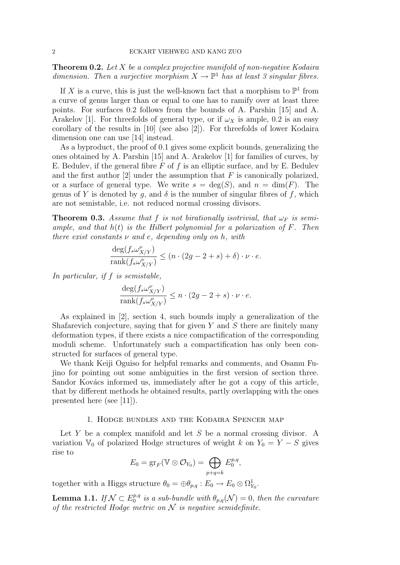**Theorem 0.2.** Let X be a complex projective manifold of non-negative Kodaira dimension. Then a surjective morphism  $X \to \mathbb{P}^1$  has at least 3 singular fibres.

If X is a curve, this is just the well-known fact that a morphism to  $\mathbb{P}^1$  from a curve of genus larger than or equal to one has to ramify over at least three points. For surfaces 0.2 follows from the bounds of A. Parshin [15] and A. Arakelov [1]. For threefolds of general type, or if  $\omega_X$  is ample, 0.2 is an easy corollary of the results in [10] (see also [2]). For threefolds of lower Kodaira dimension one can use [14] instead.

As a byproduct, the proof of 0.1 gives some explicit bounds, generalizing the ones obtained by A. Parshin [15] and A. Arakelov [1] for families of curves, by E. Bedulev, if the general fibre  $F$  of  $f$  is an elliptic surface, and by E. Bedulev and the first author  $[2]$  under the assumption that F is canonically polarized, or a surface of general type. We write  $s = \deg(S)$ , and  $n = \dim(F)$ . The genus of Y is denoted by q, and  $\delta$  is the number of singular fibres of f, which are not semistable, i.e. not reduced normal crossing divisors.

**Theorem 0.3.** Assume that f is not birationally isotrivial, that  $\omega_F$  is semiample, and that  $h(t)$  is the Hilbert polynomial for a polarization of  $F$ . Then there exist constants  $\nu$  and e, depending only on h, with

$$
\frac{\deg({f_*{\omega}^{\nu}_{X/Y}})}{\operatorname{rank}({f_*{\omega}^{\nu}_{X/Y}})} \leq (n\cdot(2g-2+s)+\delta)\cdot \nu \cdot e.
$$

In particular, if f is semistable,

$$
\frac{\deg(f_* \omega^{\nu}_{X/Y})}{\text{rank}(f_* \omega^{\nu}_{X/Y})} \le n \cdot (2g - 2 + s) \cdot \nu \cdot e.
$$

As explained in [2], section 4, such bounds imply a generalization of the Shafarevich conjecture, saying that for given  $Y$  and  $S$  there are finitely many deformation types, if there exists a nice compactification of the corresponding moduli scheme. Unfortunately such a compactification has only been constructed for surfaces of general type.

We thank Keiji Oguiso for helpful remarks and comments, and Osamu Fujino for pointing out some ambiguities in the first version of section three. Sandor Kovács informed us, immediately after he got a copy of this article, that by different methods he obtained results, partly overlapping with the ones presented here (see [11]).

## 1. Hodge bundles and the Kodaira Spencer map

Let  $Y$  be a complex manifold and let  $S$  be a normal crossing divisor. A variation  $\mathbb{V}_0$  of polarized Hodge structures of weight k on  $Y_0 = Y - S$  gives rise to

$$
E_0 = \text{gr}_F(\mathbb{V} \otimes \mathcal{O}_{Y_0}) = \bigoplus_{p+q=k} E_0^{p,q},
$$

together with a Higgs structure  $\theta_0 = \bigoplus \theta_{p,q} : E_0 \to E_0 \otimes \Omega^1_{Y_0}$ .

Lemma 1.1. If  $\mathcal{N} \subset E^{p,q}_0$  $\stackrel{p,q}{_{0}}$  is a sub-bundle with  $\theta_{p,q}(\mathcal{N})=0$ , then the curvature of the restricted Hodge metric on  $N$  is negative semidefinite.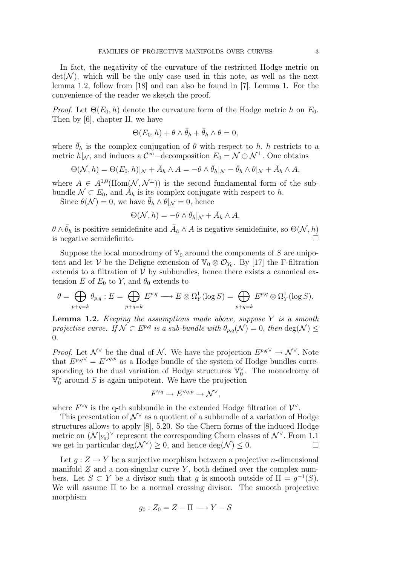In fact, the negativity of the curvature of the restricted Hodge metric on  $\det(\mathcal{N})$ , which will be the only case used in this note, as well as the next lemma 1.2, follow from [18] and can also be found in [7], Lemma 1. For the convenience of the reader we sketch the proof.

*Proof.* Let  $\Theta(E_0, h)$  denote the curvature form of the Hodge metric h on  $E_0$ . Then by [6], chapter II, we have

$$
\Theta(E_0, h) + \theta \wedge \bar{\theta}_h + \bar{\theta}_h \wedge \theta = 0,
$$

where  $\bar{\theta}_h$  is the complex conjugation of  $\theta$  with respect to h. h restricts to a metric  $h|_{\mathcal{N}}$ , and induces a  $\mathcal{C}^{\infty}$ -decomposition  $E_0 = \mathcal{N} \oplus \mathcal{N}^{\perp}$ . One obtains

$$
\Theta(\mathcal{N},h) = \Theta(E_0,h)|_{\mathcal{N}} + \bar{A}_h \wedge A = -\theta \wedge \bar{\theta}_h|_{\mathcal{N}} - \bar{\theta}_h \wedge \theta|_{\mathcal{N}} + \bar{A}_h \wedge A,
$$

where  $A \in A^{1,0}(\text{Hom}(\mathcal{N},\mathcal{N}^{\perp}))$  is the second fundamental form of the subbundle  $\mathcal{N} \subset E_0$ , and  $\hat{A}_h$  is its complex conjugate with respect to h.

Since  $\theta(\mathcal{N})=0$ , we have  $\bar{\theta}_h \wedge \theta|_{\mathcal{N}}=0$ , hence

$$
\Theta(\mathcal{N}, h) = -\theta \wedge \bar{\theta}_h|_{\mathcal{N}} + \bar{A}_h \wedge A.
$$

 $\theta \wedge \bar{\theta}_h$  is positive semidefinite and  $\bar{A}_h \wedge A$  is negative semidefinite, so  $\Theta(\mathcal{N}, h)$ is negative semidefinite.

Suppose the local monodromy of  $\mathbb{V}_0$  around the components of S are unipotent and let V be the Deligne extension of  $\mathbb{V}_0 \otimes \mathcal{O}_{Y_0}$ . By [17] the F-filtration extends to a filtration of  $V$  by subbundles, hence there exists a canonical extension E of  $E_0$  to Y, and  $\theta_0$  extends to

$$
\theta = \bigoplus_{p+q=k} \theta_{p,q} : E = \bigoplus_{p+q=k} E^{p,q} \longrightarrow E \otimes \Omega^1_Y(\log S) = \bigoplus_{p+q=k} E^{p,q} \otimes \Omega^1_Y(\log S).
$$

**Lemma 1.2.** Keeping the assumptions made above, suppose  $Y$  is a smooth projective curve. If  $\mathcal{N} \subset E^{p,q}$  is a sub-bundle with  $\theta_{p,q}(\mathcal{N}) = 0$ , then  $\deg(\mathcal{N}) \leq$  $\Omega$ 

*Proof.* Let  $\mathcal{N}^{\vee}$  be the dual of  $\mathcal{N}$ . We have the projection  $E^{p,q} \to \mathcal{N}^{\vee}$ . Note that  $E^{p,q\vee} = E^{\vee q,p}$  as a Hodge bundle of the system of Hodge bundles corresponding to the dual variation of Hodge structures  $\mathbb{V}_0^{\vee}$ . The monodromy of  $\overline{\mathbb{V}}_0^{\vee}$  around S is again unipotent. We have the projection

$$
F^{\vee q} \to E^{\vee q,p} \to \mathcal{N}^{\vee},
$$

where  $F^{\vee q}$  is the q-th subbundle in the extended Hodge filtration of  $\mathcal{V}^{\vee}$ .

This presentation of  $\mathcal{N}^{\vee}$  as a quotient of a subbundle of a variation of Hodge structures allows to apply [8], 5.20. So the Chern forms of the induced Hodge metric on  $(\mathcal{N}|_{Y_0})^{\vee}$  represent the corresponding Chern classes of  $\mathcal{N}^{\vee}$ . From 1.1 we get in particular  $deg(\mathcal{N}^{\vee}) \geq 0$ , and hence  $deg(\mathcal{N}) \leq 0$ .

Let  $q: Z \to Y$  be a surjective morphism between a projective *n*-dimensional manifold  $Z$  and a non-singular curve  $Y$ , both defined over the complex numbers. Let  $S \subset Y$  be a divisor such that g is smooth outside of  $\Pi = g^{-1}(S)$ . We will assume Π to be a normal crossing divisor. The smooth projective morphism

$$
g_0: Z_0 = Z - \Pi \longrightarrow Y - S
$$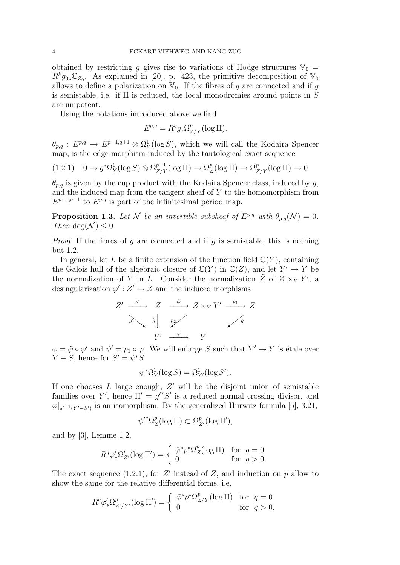obtained by restricting g gives rise to variations of Hodge structures  $\mathbb{V}_0$  =  $R^k g_{0*} \mathbb{C}_{Z_0}$ . As explained in [20], p. 423, the primitive decomposition of  $\mathbb{V}_0$ allows to define a polarization on  $\mathbb{V}_0$ . If the fibres of q are connected and if q is semistable, i.e. if  $\Pi$  is reduced, the local monodromies around points in  $S$ are unipotent.

Using the notations introduced above we find

$$
E^{p,q} = R^q g_* \Omega^p_{Z/Y} (\log \Pi).
$$

 $\theta_{p,q}$ :  $E^{p,q} \to E^{p-1,q+1} \otimes \Omega_Y^1(\log S)$ , which we will call the Kodaira Spencer map, is the edge-morphism induced by the tautological exact sequence

$$
(1.2.1) \quad 0 \to g^*\Omega^1_Y(\log S) \otimes \Omega^{p-1}_{Z/Y}(\log \Pi) \to \Omega^p_Z(\log \Pi) \to \Omega^p_{Z/Y}(\log \Pi) \to 0.
$$

 $\theta_{p,q}$  is given by the cup product with the Kodaira Spencer class, induced by g, and the induced map from the tangent sheaf of  $Y$  to the homomorphism from  $E^{p-1,q+1}$  to  $E^{p,q}$  is part of the infinitesimal period map.

**Proposition 1.3.** Let N be an invertible subsheaf of  $E^{p,q}$  with  $\theta_{p,q}(\mathcal{N}) = 0$ . Then deg( $\mathcal{N}$ ) < 0.

*Proof.* If the fibres of g are connected and if g is semistable, this is nothing but 1.2.

In general, let L be a finite extension of the function field  $\mathbb{C}(Y)$ , containing the Galois hull of the algebraic closure of  $\mathbb{C}(Y)$  in  $\mathbb{C}(Z)$ , and let  $Y' \to Y$  be the normalization of Y in L. Consider the normalization  $\tilde{Z}$  of  $Z \times_{Y} Y'$ , a desingularization  $\varphi' : Z' \to \tilde{Z}$  and the induced morphisms

$$
Z' \xrightarrow{\varphi'} \tilde{Z} \xrightarrow{\tilde{\varphi}} Z \times_Y Y' \xrightarrow{p_1} Z
$$
  

$$
\tilde{g} \downarrow \qquad \tilde{p}_2 \nearrow
$$
  

$$
Y' \xrightarrow{\psi} Y
$$

 $\varphi = \tilde{\varphi} \circ \varphi'$  and  $\psi' = p_1 \circ \varphi$ . We will enlarge S such that  $Y' \to Y$  is étale over  $Y - S$ , hence for  $S' = \psi^* S$ 

$$
\psi^* \Omega^1_Y(\log S) = \Omega^1_{Y'}(\log S').
$$

If one chooses  $L$  large enough,  $Z'$  will be the disjoint union of semistable families over Y', hence  $\Pi' = g'^*S'$  is a reduced normal crossing divisor, and  $\varphi|_{g'^{-1}(Y'-S')}$  is an isomorphism. By the generalized Hurwitz formula [5], 3.21,

$$
\psi'^*\Omega_Z^p(\log\Pi)\subset \Omega_{Z'}^p(\log\Pi'),
$$

and by [3], Lemme 1.2,

$$
R^q \varphi'_* \Omega_{Z'}^p(\log \Pi') = \begin{cases} \tilde{\varphi}^* p_1^* \Omega_Z^p(\log \Pi) & \text{for } q = 0 \\ 0 & \text{for } q > 0. \end{cases}
$$

The exact sequence (1.2.1), for  $Z'$  instead of  $Z$ , and induction on  $p$  allow to show the same for the relative differential forms, i.e.

$$
R^q \varphi'_* \Omega^p_{Z'/Y'}(\log \Pi') = \begin{cases} \tilde{\varphi}^* p_1^* \Omega^p_{Z/Y}(\log \Pi) & \text{for } q = 0 \\ 0 & \text{for } q > 0. \end{cases}
$$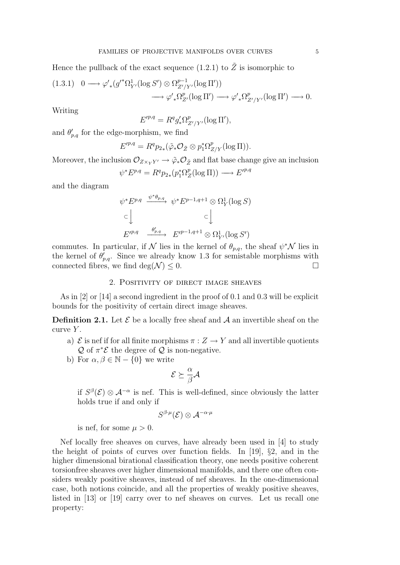Hence the pullback of the exact sequence (1.2.1) to  $\tilde{Z}$  is isomorphic to

$$
(1.3.1) \quad 0 \longrightarrow \varphi'_{*}(g'^{*}\Omega_{Y'}^{1}(\log S') \otimes \Omega_{Z'/Y'}^{p-1}(\log \Pi'))
$$

$$
\longrightarrow \varphi'_{*}\Omega_{Z'}^{p}(\log \Pi') \longrightarrow \varphi'_{*}\Omega_{Z'/Y'}^{p}(\log \Pi') \longrightarrow 0.
$$

Writing

$$
E'^{p,q} = R^q g'_* \Omega^p_{Z'/Y'}(\log \Pi'),
$$

and  $\theta'_{p,q}$  for the edge-morphism, we find

$$
E'^{p,q} = R^q p_{2*}(\tilde{\varphi}_* \mathcal{O}_{\tilde{Z}} \otimes p_1^* \Omega^p_{Z/Y} (\log \Pi)).
$$

Moreover, the inclusion  $\mathcal{O}_{Z\times_Y Y'} \to \tilde{\varphi}_*\mathcal{O}_{\tilde{Z}}$  and flat base change give an inclusion

$$
\psi^* E^{p,q} = R^q p_{2*}(p_1^* \Omega_Z^p(\log \Pi)) \longrightarrow E'^{p,q}
$$

and the diagram

$$
\psi^* E^{p,q} \xrightarrow{\psi^*\theta_{p,q}} \psi^* E^{p-1,q+1} \otimes \Omega_Y^1(\log S)
$$
  
\n
$$
\subset \bigcup_{E'^{p,q}} \xrightarrow{\theta'_{p,q}} E'^{p-1,q+1} \otimes \Omega_{Y'}^1(\log S')
$$

commutes. In particular, if N lies in the kernel of  $\theta_{p,q}$ , the sheaf  $\psi^* \mathcal{N}$  lies in the kernel of  $\theta'_{p,q}$ . Since we already know 1.3 for semistable morphisms with connected fibres, we find deg( $\mathcal{N}$ )  $\leq$  0.

## 2. Positivity of direct image sheaves

As in [2] or [14] a second ingredient in the proof of 0.1 and 0.3 will be explicit bounds for the positivity of certain direct image sheaves.

**Definition 2.1.** Let  $\mathcal{E}$  be a locally free sheaf and  $\mathcal{A}$  an invertible sheaf on the curve  $Y$ .

- a)  $\mathcal E$  is nef if for all finite morphisms  $\pi: Z \to Y$  and all invertible quotients  $\mathcal Q$  of  $\pi^*\mathcal E$  the degree of  $\mathcal Q$  is non-negative.
- b) For  $\alpha, \beta \in \mathbb{N} \{0\}$  we write

$$
\mathcal{E} \succeq \frac{\alpha}{\beta} \mathcal{A}
$$

if  $S^{\beta}(\mathcal{E}) \otimes \mathcal{A}^{-\alpha}$  is nef. This is well-defined, since obviously the latter holds true if and only if

$$
S^{\beta\cdot\mu}(\mathcal{E})\otimes \mathcal{A}^{-\alpha\cdot\mu}
$$

is nef, for some  $\mu > 0$ .

Nef locally free sheaves on curves, have already been used in [4] to study the height of points of curves over function fields. In [19], §2, and in the higher dimensional birational classification theory, one needs positive coherent torsionfree sheaves over higher dimensional manifolds, and there one often considers weakly positive sheaves, instead of nef sheaves. In the one-dimensional case, both notions coincide, and all the properties of weakly positive sheaves, listed in [13] or [19] carry over to nef sheaves on curves. Let us recall one property: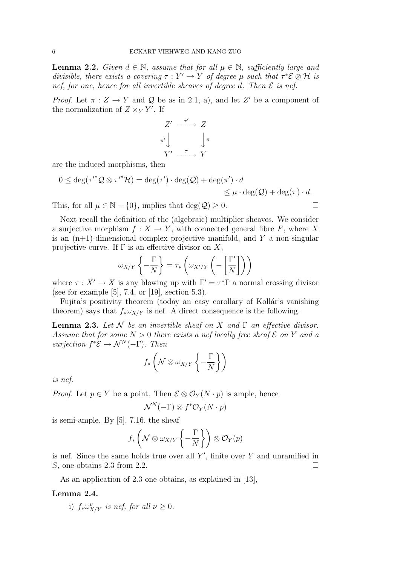**Lemma 2.2.** Given  $d \in \mathbb{N}$ , assume that for all  $\mu \in \mathbb{N}$ , sufficiently large and divisible, there exists a covering  $\tau : Y' \to Y$  of degree  $\mu$  such that  $\tau^* \mathcal{E} \otimes \mathcal{H}$  is nef, for one, hence for all invertible sheaves of degree d. Then  $\mathcal E$  is nef.

*Proof.* Let  $\pi : Z \to Y$  and Q be as in 2.1, a), and let Z' be a component of the normalization of  $Z \times_Y Y'$ . If

$$
Z' \xrightarrow{\tau'} Z
$$

$$
\pi' \downarrow \qquad \qquad \downarrow \pi
$$

$$
Y' \xrightarrow{\tau} Y
$$

are the induced morphisms, then

$$
0 \le \deg(\tau'^* \mathcal{Q} \otimes \pi'^* \mathcal{H}) = \deg(\tau') \cdot \deg(\mathcal{Q}) + \deg(\pi') \cdot d
$$
  
\$\le \mu \cdot \deg(\mathcal{Q}) + \deg(\pi) \cdot d\$.

This, for all  $\mu \in \mathbb{N} - \{0\}$ , implies that  $\deg(\mathcal{Q}) \geq 0$ .

Next recall the definition of the (algebraic) multiplier sheaves. We consider a surjective morphism  $f: X \to Y$ , with connected general fibre F, where X is an  $(n+1)$ -dimensional complex projective manifold, and Y a non-singular projective curve. If  $\Gamma$  is an effective divisor on X,

$$
\omega_{X/Y} \left\{ -\frac{\Gamma}{N} \right\} = \tau_* \left( \omega_{X'/Y} \left( -\left[ \frac{\Gamma'}{N} \right] \right) \right)
$$

where  $\tau : X' \to X$  is any blowing up with  $\Gamma' = \tau^* \Gamma$  a normal crossing divisor (see for example [5], 7.4, or [19], section 5.3).

Fujita's positivity theorem (today an easy corollary of Kollár's vanishing theorem) says that  $f_* \omega_{X/Y}$  is nef. A direct consequence is the following.

**Lemma 2.3.** Let N be an invertible sheaf on X and  $\Gamma$  an effective divisor. Assume that for some  $N > 0$  there exists a nef locally free sheaf  $\mathcal E$  on Y and a surjection  $f^*{\mathcal{E}} \to \mathcal{N}^N(-\Gamma)$ . Then

$$
f_*\left(\mathcal{N} \otimes \omega_{X/Y}\left\{-\frac{\Gamma}{N}\right\}\right)
$$

is nef.

*Proof.* Let  $p \in Y$  be a point. Then  $\mathcal{E} \otimes \mathcal{O}_Y(N \cdot p)$  is ample, hence

$$
\mathcal{N}^N(-\Gamma)\otimes f^*\mathcal{O}_Y(N\cdot p)
$$

is semi-ample. By [5], 7.16, the sheaf

$$
f_*\left(\mathcal{N}\otimes\omega_{X/Y}\left\{-\frac{\Gamma}{N}\right\}\right)\otimes\mathcal{O}_Y(p)
$$

is nef. Since the same holds true over all  $Y'$ , finite over Y and unramified in S, one obtains 2.3 from 2.2.

As an application of 2.3 one obtains, as explained in [13],

#### Lemma 2.4.

i)  $f_* \omega^{\nu}_{X/Y}$  is nef, for all  $\nu \geq 0$ .

$$
\Box
$$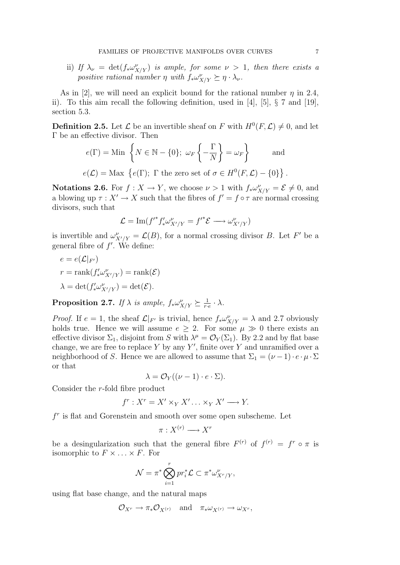ii) If  $\lambda_{\nu} = \det(f_{*} \omega_{X/Y}^{\nu})$  is ample, for some  $\nu > 1$ , then there exists a positive rational number  $\eta$  with  $f_* \omega_{X/Y}^{\nu} \succeq \eta \cdot \lambda_{\nu}$ .

As in [2], we will need an explicit bound for the rational number  $\eta$  in 2.4, ii). To this aim recall the following definition, used in [4], [5], § 7 and [19], section 5.3.

**Definition 2.5.** Let  $\mathcal{L}$  be an invertible sheaf on F with  $H^0(F, \mathcal{L}) \neq 0$ , and let Γ be an effective divisor. Then

$$
e(\Gamma) = \text{Min}\left\{N \in \mathbb{N} - \{0\}; \ \omega_F\left\{-\frac{\Gamma}{N}\right\} = \omega_F\right\} \quad \text{and} \quad
$$

 $e(\mathcal{L}) = \text{Max } \{e(\Gamma); \Gamma \text{ the zero set of } \sigma \in H^0(F, \mathcal{L}) - \{0\} \}.$ 

**Notations 2.6.** For  $f: X \to Y$ , we choose  $\nu > 1$  with  $f_* \omega_{X/Y}^{\nu} = \mathcal{E} \neq 0$ , and a blowing up  $\tau : X' \to X$  such that the fibres of  $f' = f \circ \tau$  are normal crossing divisors, such that

$$
\mathcal{L} = \mathrm{Im}(f'^*f'_* \omega^{\nu}_{X'/Y} = f'^* \mathcal{E} \longrightarrow \omega^{\nu}_{X'/Y})
$$

is invertible and  $\omega_{X'/Y}^{\nu} = \mathcal{L}(B)$ , for a normal crossing divisor B. Let F' be a general fibre of  $f'$ . We define:

$$
e = e(\mathcal{L}|_{F'})
$$
  
\n
$$
r = \text{rank}(f'_* \omega_{X'/Y}^{\nu}) = \text{rank}(\mathcal{E})
$$
  
\n
$$
\lambda = \det(f'_* \omega_{X'/Y}^{\nu}) = \det(\mathcal{E}).
$$

**Proposition 2.7.** If  $\lambda$  is ample,  $f_* \omega_{X/Y}^{\nu} \succeq \frac{1}{r}$  $\frac{1}{r\cdot e}\cdot \lambda$ .

*Proof.* If  $e = 1$ , the sheaf  $\mathcal{L}|_{F'}$  is trivial, hence  $f_*\omega_{X/Y}^{\nu} = \lambda$  and 2.7 obviously holds true. Hence we will assume  $e \geq 2$ . For some  $\mu \gg 0$  there exists an effective divisor  $\Sigma_1$ , disjoint from S with  $\lambda^{\mu} = \mathcal{O}_Y(\Sigma_1)$ . By 2.2 and by flat base change, we are free to replace  $Y$  by any  $Y'$ , finite over  $Y$  and unramified over a neighborhood of S. Hence we are allowed to assume that  $\Sigma_1 = (\nu - 1) \cdot e \cdot \mu \cdot \Sigma$ or that

$$
\lambda = \mathcal{O}_Y((\nu - 1) \cdot e \cdot \Sigma).
$$

Consider the r-fold fibre product

$$
f^r: X^r = X' \times_Y X' \dots \times_Y X' \longrightarrow Y.
$$

 $f<sup>r</sup>$  is flat and Gorenstein and smooth over some open subscheme. Let

$$
\pi: X^{(r)} \longrightarrow X^r
$$

be a desingularization such that the general fibre  $F^{(r)}$  of  $f^{(r)} = f^r \circ \pi$  is isomorphic to  $F \times \ldots \times F$ . For

$$
\mathcal{N} = \pi^* \bigotimes_{i=1}^r pr_i^* \mathcal{L} \subset \pi^* \omega_{X^r/Y}^{\nu},
$$

using flat base change, and the natural maps

$$
\mathcal{O}_{X^r} \to \pi_* \mathcal{O}_{X^{(r)}} \quad \text{and} \quad \pi_* \omega_{X^{(r)}} \to \omega_{X^r},
$$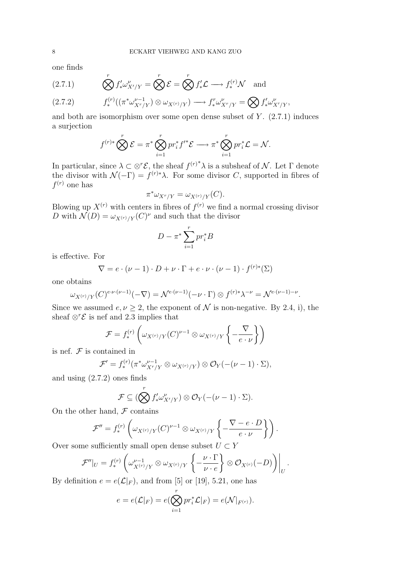one finds

(2.7.1) 
$$
\bigotimes^r f'_* \omega^{\nu}_{X'/Y} = \bigotimes^r \mathcal{E} = \bigotimes^r f'_* \mathcal{L} \longrightarrow f^{(r)}_* \mathcal{N} \text{ and}
$$

$$
(2.7.2) \t f_*^{(r)}((\pi^* \omega_{X^r/Y}^{\nu-1}) \otimes \omega_{X^{(r)}/Y}) \longrightarrow f_*^r \omega_{X^r/Y}^{\nu} = \bigotimes f'_* \omega_{X'/Y}^{\nu},
$$

and both are isomorphism over some open dense subset of  $Y$ .  $(2.7.1)$  induces a surjection

$$
f^{(r)*} \bigotimes^r \mathcal{E} = \pi^* \bigotimes_{i=1}^r pr_i^* f'^* \mathcal{E} \longrightarrow \pi^* \bigotimes_{i=1}^r pr_i^* \mathcal{L} = \mathcal{N}.
$$

In particular, since  $\lambda \subset \otimes^r \mathcal{E}$ , the sheaf  $f^{(r)^*}\lambda$  is a subsheaf of N. Let  $\Gamma$  denote the divisor with  $\mathcal{N}(-\Gamma) = f^{(r)*}\lambda$ . For some divisor C, supported in fibres of  $f^{(r)}$  one has

$$
\pi^* \omega_{X^r/Y} = \omega_{X^{(r)}/Y}(C).
$$

Blowing up  $X^{(r)}$  with centers in fibres of  $f^{(r)}$  we find a normal crossing divisor D with  $\mathcal{N}(D) = \omega_{X^{(r)}/Y}(C)^{\nu}$  and such that the divisor

$$
D - \pi^* \sum_{i=1}^r pr_i^* B
$$

is effective. For

$$
\nabla = e \cdot (\nu - 1) \cdot D + \nu \cdot \Gamma + e \cdot \nu \cdot (\nu - 1) \cdot f^{(r)*}(\Sigma)
$$

one obtains

$$
\omega_{X^{(r)}/Y}(C)^{e\cdot \nu\cdot (\nu-1)}(-\nabla)=\mathcal{N}^{e\cdot (\nu-1)}(-\nu\cdot \Gamma)\otimes f^{(r)*}\lambda^{-\nu}=\mathcal{N}^{e\cdot (\nu-1)-\nu}.
$$

Since we assumed  $e, \nu \geq 2$ , the exponent of N is non-negative. By 2.4, i), the sheaf  $\otimes^r \mathcal{E}$  is nef and 2.3 implies that

$$
\mathcal{F} = f_*^{(r)}\left(\omega_{X^{(r)}/Y}(C)^{\nu-1}\otimes \omega_{X^{(r)}/Y}\left\{-\frac{\nabla}{e\cdot\nu}\right\}\right)
$$

is nef.  $\mathcal F$  is contained in

$$
\mathcal{F}' = f_*^{(r)}(\pi^* \omega_{X^r/Y}^{\nu-1} \otimes \omega_{X^{(r)}/Y}) \otimes \mathcal{O}_Y(-( \nu - 1) \cdot \Sigma),
$$

and using (2.7.2) ones finds

$$
\mathcal{F} \subseteq (\bigotimes^{r} f'_{*} \omega_{X'/Y}^{\nu}) \otimes \mathcal{O}_{Y}(-( \nu - 1) \cdot \Sigma).
$$

On the other hand,  $\mathcal F$  contains

$$
\mathcal{F}'' = f_*^{(r)} \left( \omega_{X^{(r)}/Y}(C)^{\nu-1} \otimes \omega_{X^{(r)}/Y} \left\{ -\frac{\nabla - e \cdot D}{e \cdot \nu} \right\} \right).
$$

Over some sufficiently small open dense subset  $U \subset Y$ 

$$
\mathcal{F}''|_{U} = f_*^{(r)} \left( \omega_{X^{(r)}/Y}^{\nu-1} \otimes \omega_{X^{(r)}/Y} \left\{ -\frac{\nu \cdot \Gamma}{\nu \cdot e} \right\} \otimes \mathcal{O}_{X^{(r)}}(-D) \right)\Big|_{U}.
$$

By definition  $e = e(\mathcal{L}|_F)$ , and from [5] or [19], 5.21, one has

$$
e = e(\mathcal{L}|_F) = e(\bigotimes_{i=1}^r pr_i^*\mathcal{L}|_F) = e(\mathcal{N}|_{F^{(r)}}).
$$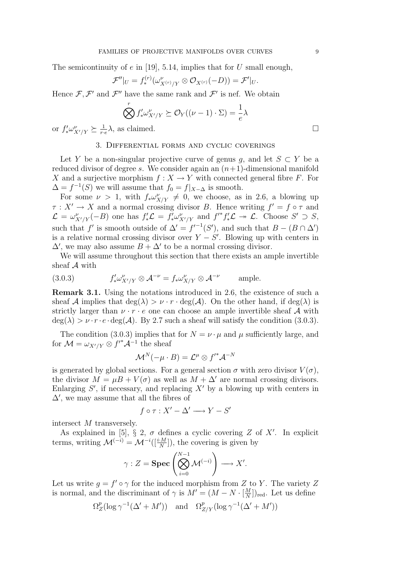The semicontinuity of e in [19], 5.14, implies that for U small enough,

$$
\mathcal{F}''|_U = f_*^{(r)}(\omega_{X^{(r)}/Y}^{\nu} \otimes \mathcal{O}_{X^{(r)}}(-D)) = \mathcal{F}'|_U.
$$

Hence  $\mathcal{F}, \mathcal{F}'$  and  $\mathcal{F}''$  have the same rank and  $\mathcal{F}'$  is nef. We obtain

$$
\bigotimes^r f'_* \omega_{X'/Y}^{\nu} \succeq \mathcal{O}_Y((\nu - 1) \cdot \Sigma) = \frac{1}{e} \lambda
$$

or  $f'_* \omega^{\nu}_{X'/Y} \succeq \frac{1}{r}$  $\frac{1}{r\cdot e}\lambda$ , as claimed.

#### 3. Differential forms and cyclic coverings

Let Y be a non-singular projective curve of genus q, and let  $S \subset Y$  be a reduced divisor of degree s. We consider again an  $(n+1)$ -dimensional manifold X and a surjective morphism  $f: X \to Y$  with connected general fibre F. For  $\Delta = f^{-1}(S)$  we will assume that  $f_0 = f|_{X-\Delta}$  is smooth.

For some  $\nu > 1$ , with  $f_* \omega^{\nu}_{X/Y} \neq 0$ , we choose, as in 2.6, a blowing up  $\tau: X' \to X$  and a normal crossing divisor B. Hence writing  $f' = f \circ \tau$  and  $\mathcal{L} = \omega_{X'/Y}^{\nu}(-B)$  one has  $f'_*\mathcal{L} = f'_*\omega_{X'/Y}^{\nu}$  and  $f'^*f'_*\mathcal{L} \twoheadrightarrow \mathcal{L}$ . Choose  $S' \supset S$ , such that f' is smooth outside of  $\Delta' = f^{-1}(S')$ , and such that  $B - (B \cap \Delta')$ is a relative normal crossing divisor over  $Y - S'$ . Blowing up with centers in  $\Delta'$ , we may also assume  $B + \Delta'$  to be a normal crossing divisor.

We will assume throughout this section that there exists an ample invertible sheaf A with

(3.0.3) 
$$
f'_* \omega^{\nu}_{X'/Y} \otimes \mathcal{A}^{-\nu} = f_* \omega^{\nu}_{X/Y} \otimes \mathcal{A}^{-\nu} \quad \text{ample.}
$$

Remark 3.1. Using the notations introduced in 2.6, the existence of such a sheaf A implies that  $\deg(\lambda) > \nu \cdot r \cdot \deg(\mathcal{A})$ . On the other hand, if  $\deg(\lambda)$  is strictly larger than  $v \cdot r \cdot e$  one can choose an ample invertible sheaf A with  $deg(\lambda) > \nu \cdot r \cdot e \cdot deg(\mathcal{A})$ . By 2.7 such a sheaf will satisfy the condition (3.0.3).

The condition (3.0.3) implies that for  $N = \nu \cdot \mu$  and  $\mu$  sufficiently large, and for  $\mathcal{M} = \omega_{X'/Y} \otimes f'^* \mathcal{A}^{-1}$  the sheaf

$$
\mathcal{M}^N(-\mu \cdot B) = \mathcal{L}^\mu \otimes {f'}^* \mathcal{A}^{-N}
$$

is generated by global sections. For a general section  $\sigma$  with zero divisor  $V(\sigma)$ , the divisor  $M = \mu B + V(\sigma)$  as well as  $M + \Delta'$  are normal crossing divisors. Enlarging  $S'$ , if necessary, and replacing  $X'$  by a blowing up with centers in  $\Delta'$ , we may assume that all the fibres of

$$
f \circ \tau : X' - \Delta' \longrightarrow Y - S'
$$

intersect M transversely.

As explained in [5],  $\S 2$ ,  $\sigma$  defines a cyclic covering Z of X'. In explicit terms, writing  $\mathcal{M}^{(-i)} = \mathcal{M}^{-i}([\frac{i \cdot M}{N}])$ , the covering is given by

$$
\gamma: Z = \operatorname{Spec} \left( \bigotimes_{i=0}^{N-1} \mathcal{M}^{(-i)} \right) \longrightarrow X'.
$$

Let us write  $g = f' \circ \gamma$  for the induced morphism from Z to Y. The variety Z is normal, and the discriminant of  $\gamma$  is  $M' = (M - N \cdot \frac{M}{N})$  $\frac{M}{N}]_{\text{red}}$ . Let us define

$$
\Omega_Z^p(\log \gamma^{-1}(\Delta'+M')) \quad \text{and} \quad \Omega_{Z/Y}^p(\log \gamma^{-1}(\Delta'+M'))
$$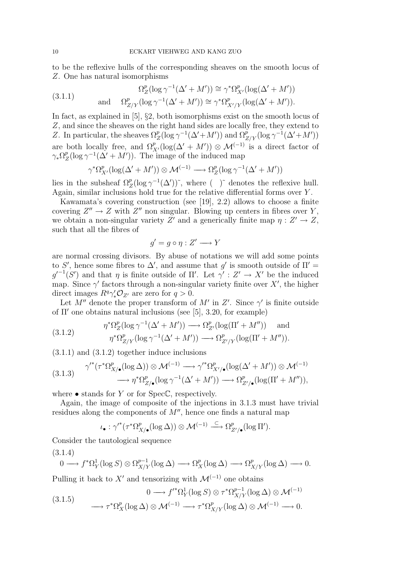to be the reflexive hulls of the corresponding sheaves on the smooth locus of Z. One has natural isomorphisms

(3.1.1) 
$$
\Omega_Z^p(\log \gamma^{-1}(\Delta' + M')) \cong \gamma^* \Omega_{X'}^p(\log(\Delta' + M'))
$$
  
and 
$$
\Omega_{Z/Y}^p(\log \gamma^{-1}(\Delta' + M')) \cong \gamma^* \Omega_{X'/Y}^p(\log(\Delta' + M')).
$$

In fact, as explained in [5], §2, both isomorphisms exist on the smooth locus of Z, and since the sheaves on the right hand sides are locally free, they extend to Z. In particular, the sheaves  $\Omega_Z^p(\log \gamma^{-1}(\Delta'+M'))$  and  $\Omega_{Z/Y}^p(\log \gamma^{-1}(\Delta'+M'))$ are both locally free, and  $\Omega_{X'}^p(\log(\Delta'+M')) \otimes \mathcal{M}^{(-1)}$  is a direct factor of  $\gamma_* \Omega^p_Z$  $Z^p_Z(\log \gamma^{-1}(\Delta' + M'))$ . The image of the induced map

$$
\gamma^* \Omega^p_{X'} (\log(\Delta' + M')) \otimes \mathcal{M}^{(-1)} \longrightarrow \Omega^p_Z (\log \gamma^{-1} (\Delta' + M'))
$$

lies in the subsheaf  $\Omega_Z^p(\log \gamma^{-1}(\Delta'))$ <sup>\*</sup>, where ( )<sup>\*</sup> denotes the reflexive hull. Again, similar inclusions hold true for the relative differential forms over Y .

Kawamata's covering construction (see [19], 2.2) allows to choose a finite covering  $Z'' \to Z$  with  $Z''$  non singular. Blowing up centers in fibres over Y, we obtain a non-singular variety Z' and a generically finite map  $\eta : Z' \to Z$ , such that all the fibres of

$$
g' = g \circ \eta : Z' \longrightarrow Y
$$

are normal crossing divisors. By abuse of notations we will add some points to S', hence some fibres to  $\Delta'$ , and assume that g' is smooth outside of  $\Pi' =$  $g'^{-1}(S')$  and that  $\eta$  is finite outside of  $\Pi'$ . Let  $\gamma': Z' \to X'$  be the induced map. Since  $\gamma'$  factors through a non-singular variety finite over X', the higher direct images  $R^q \gamma'_* \mathcal{O}_{Z'}$  are zero for  $q > 0$ .

Let M'' denote the proper transform of M' in Z'. Since  $\gamma'$  is finite outside of  $\Pi'$  one obtains natural inclusions (see [5], 3.20, for example)

(3.1.2) 
$$
\eta^* \Omega_Z^p(\log \gamma^{-1}(\Delta' + M')) \longrightarrow \Omega_{Z'}^p(\log(\Pi' + M'')) \quad \text{and} \quad \eta^* \Omega_{Z/Y}^p(\log \gamma^{-1}(\Delta' + M')) \longrightarrow \Omega_{Z'/Y}^p(\log(\Pi' + M'')).
$$

(3.1.1) and (3.1.2) together induce inclusions

$$
(3.1.3) \quad \gamma'^*(\tau^*\Omega^p_{X/\bullet}(\log \Delta)) \otimes \mathcal{M}^{(-1)} \longrightarrow \gamma'^*\Omega^p_{X'/\bullet}(\log(\Delta' + M')) \otimes \mathcal{M}^{(-1)} \longrightarrow \eta^*\Omega^p_{Z/\bullet}(\log \gamma^{-1}(\Delta' + M')) \longrightarrow \Omega^p_{Z/\bullet}(\log(\Pi' + M'')),
$$

where  $\bullet$  stands for Y or for SpecC, respectively.

Again, the image of composite of the injections in 3.1.3 must have trivial residues along the components of  $M''$ , hence one finds a natural map

$$
\iota_{\bullet}: \gamma'^*(\tau^*\Omega^p_{X/\bullet}(\log \Delta)) \otimes \mathcal{M}^{(-1)} \xrightarrow{\subset} \Omega^p_{Z'/\bullet}(\log \Pi').
$$

Consider the tautological sequence

(3.1.4)

$$
0 \longrightarrow f^*\Omega^1_Y(\log S) \otimes \Omega^{p-1}_{X/Y}(\log \Delta) \longrightarrow \Omega^p_X(\log \Delta) \longrightarrow \Omega^p_{X/Y}(\log \Delta) \longrightarrow 0.
$$

Pulling it back to X' and tensorizing with  $\mathcal{M}^{(-1)}$  one obtains

$$
(3.1.5) \qquad \qquad 0 \longrightarrow f'^*\Omega^1_Y(\log S) \otimes \tau^*\Omega^{p-1}_{X/Y}(\log \Delta) \otimes \mathcal{M}^{(-1)} \longrightarrow \tau^*\Omega^p_X(\log \Delta) \otimes \mathcal{M}^{(-1)} \longrightarrow 0.
$$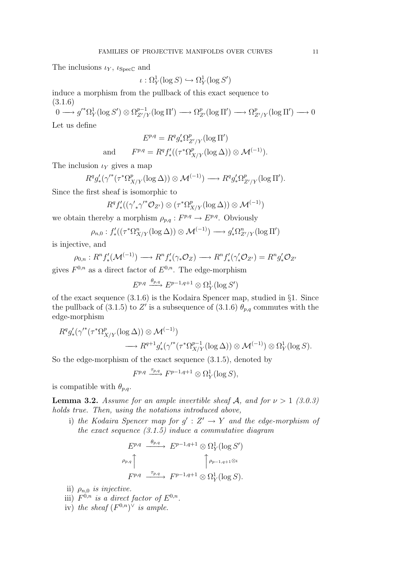The inclusions  $\iota_Y$ ,  $\iota_{\text{Spec}\mathbb{C}}$  and

$$
\iota : \Omega^1_Y(\log S) \hookrightarrow \Omega^1_Y(\log S')
$$

induce a morphism from the pullback of this exact sequence to (3.1.6)

 $0 \longrightarrow g'^*\Omega^1_Y(\log S') \otimes \Omega^{p-1}_{Z'/Y}(\log \Pi') \longrightarrow \Omega^p_{Z'}(\log \Pi') \longrightarrow \Omega^p_{Z'/Y}(\log \Pi') \longrightarrow 0$ 

Let us define

$$
E^{p,q} = R^q g'_* \Omega^p_{Z'/Y} (\log \Pi')
$$
  
d 
$$
F^{p,q} = R^q f'_* ((\tau^* \Omega^p_{X/Y} (\log \Delta)) \otimes \mathcal{M}^{(-1)}).
$$

The inclusion  $\iota_Y$  gives a map

an

$$
R^q g'_*(\gamma'^*(\tau^*\Omega^p_{X/Y}(\log \Delta)) \otimes \mathcal{M}^{(-1)}) \longrightarrow R^q g'_*\Omega^p_{Z'/Y}(\log \Pi').
$$

Since the first sheaf is isomorphic to

$$
R^q f'_* ((\gamma'_{*} \gamma'^* \mathcal{O}_{Z'}) \otimes (\tau^* \Omega^p_{X/Y} (\log \Delta)) \otimes \mathcal{M}^{(-1)})
$$

we obtain thereby a morphism  $\rho_{p,q}: F^{p,q} \to E^{p,q}$ . Obviously

$$
\rho_{n,0}: f'_*((\tau^*\Omega^n_{X/Y}(\log \Delta)) \otimes \mathcal{M}^{(-1)}) \longrightarrow g'_*\Omega^n_{Z'/Y}(\log \Pi')
$$

is injective, and

$$
\rho_{0,n}: R^n f'_*(\mathcal{M}^{(-1)}) \longrightarrow R^n f'_*(\gamma_* \mathcal{O}_Z) \longrightarrow R^n f'_*(\gamma'_* \mathcal{O}_{Z'}) = R^n g'_* \mathcal{O}_{Z'}
$$

gives  $F^{0,n}$  as a direct factor of  $E^{0,n}$ . The edge-morphism

$$
E^{p,q} \xrightarrow{\theta_{p,q}} E^{p-1,q+1} \otimes \Omega^1_Y(\log S')
$$

of the exact sequence (3.1.6) is the Kodaira Spencer map, studied in §1. Since the pullback of (3.1.5) to Z' is a subsequence of (3.1.6)  $\theta_{p,q}$  commutes with the edge-morphism

$$
R^q g'_* (\gamma'^* (\tau^* \Omega^p_{X/Y} (\log \Delta)) \otimes \mathcal{M}^{(-1)})
$$
  

$$
\longrightarrow R^{q+1} g'_* (\gamma'^* (\tau^* \Omega^{p-1}_{X/Y} (\log \Delta)) \otimes \mathcal{M}^{(-1)}) \otimes \Omega^1_Y (\log S).
$$

So the edge-morphism of the exact sequence (3.1.5), denoted by

$$
F^{p,q} \xrightarrow{\tau_{p,q}} F^{p-1,q+1} \otimes \Omega_Y^1(\log S),
$$

is compatible with  $\theta_{p,q}$ .

**Lemma 3.2.** Assume for an ample invertible sheaf A, and for  $\nu > 1$  (3.0.3) holds true. Then, using the notations introduced above,

i) the Kodaira Spencer map for  $g' : Z' \to Y$  and the edge-morphism of the exact sequence  $(3.1.5)$  induce a commutative diagram

$$
E^{p,q} \xrightarrow{\theta_{p,q}} E^{p-1,q+1} \otimes \Omega_Y^1(\log S')
$$
  
\n
$$
\rho_{p,q} \uparrow \qquad \qquad \uparrow \rho_{p-1,q+1 \otimes \iota}
$$
  
\n
$$
F^{p,q} \xrightarrow{\tau_{p,q}} F^{p-1,q+1} \otimes \Omega_Y^1(\log S).
$$

- ii)  $\rho_{n,0}$  is injective.
- iii)  $F^{0,n}$  is a direct factor of  $E^{0,n}$ .
- iv) the sheaf  $(F^{0,n})^{\vee}$  is ample.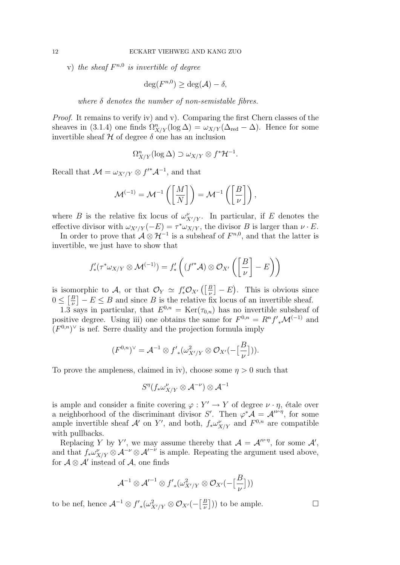v) the sheaf  $F^{n,0}$  is invertible of degree

$$
\deg(F^{n,0}) \ge \deg(\mathcal{A}) - \delta,
$$

where  $\delta$  denotes the number of non-semistable fibres.

Proof. It remains to verify iv) and v). Comparing the first Chern classes of the sheaves in (3.1.4) one finds  $\Omega_{X/Y}^n(\log \Delta) = \omega_{X/Y}(\Delta_{\text{red}} - \Delta)$ . Hence for some invertible sheaf  $H$  of degree  $\delta$  one has an inclusion

$$
\Omega_{X/Y}^n(\log \Delta) \supset \omega_{X/Y} \otimes f^* \mathcal{H}^{-1}.
$$

Recall that  $\mathcal{M} = \omega_{X'/Y} \otimes f'^* \mathcal{A}^{-1}$ , and that

$$
\mathcal{M}^{(-1)} = \mathcal{M}^{-1}\left(\left[\frac{M}{N}\right]\right) = \mathcal{M}^{-1}\left(\left[\frac{B}{\nu}\right]\right),\,
$$

where B is the relative fix locus of  $\omega_{X'/Y}^{\nu}$ . In particular, if E denotes the effective divisor with  $\omega_{X'/Y}(-E) = \tau^* \omega_{X/Y}$ , the divisor B is larger than  $\nu \cdot E$ .

In order to prove that  $\mathcal{A} \otimes \mathcal{H}^{-1}$  is a subsheaf of  $F^{n,0}$ , and that the latter is invertible, we just have to show that

$$
f'_{*}(\tau^{*}\omega_{X/Y}\otimes \mathcal{M}^{(-1)})=f'_{*}\left((f'^{*}\mathcal{A})\otimes \mathcal{O}_{X'}\left(\left[\frac{B}{\nu}\right]-E\right)\right)
$$

is isomorphic to A, or that  $\mathcal{O}_Y \simeq f'_* \mathcal{O}_{X'} \left( \left[ \frac{B}{\nu} \right]$  $\left[\frac{B}{\nu}\right] - E$ ). This is obvious since  $0 \leq \left[\frac{B}{\mu}\right]$  $\left[\frac{B}{\nu}\right] - E \leq B$  and since B is the relative fix locus of an invertible sheaf.

1.3 says in particular, that  $E^{0,n} = \text{Ker}(\tau_{0,n})$  has no invertible subsheaf of positive degree. Using iii) one obtains the same for  $F^{0,n} = R^n f'_{*} \mathcal{M}^{(-1)}$  and  $(F^{0,n})^{\vee}$  is nef. Serre duality and the projection formula imply

$$
(F^{0,n})^{\vee} = \mathcal{A}^{-1} \otimes f'_{*}(\omega_{X'/Y}^{2} \otimes \mathcal{O}_{X'}(-\left[\frac{B}{\nu}\right])).
$$

To prove the ampleness, claimed in iv), choose some  $\eta > 0$  such that

$$
S^\eta(f_*\omega_{X/Y}^\nu\otimes \mathcal{A}^{-\nu})\otimes \mathcal{A}^{-1}
$$

is ample and consider a finite covering  $\varphi: Y' \to Y$  of degree  $\nu \cdot \eta$ , étale over a neighborhood of the discriminant divisor S'. Then  $\varphi^* A = A^{\prime \nu \cdot \eta}$ , for some ample invertible sheaf  $\mathcal{A}'$  on Y', and both,  $f_* \omega_{X/Y}^{\nu}$  and  $F^{0,n}$  are compatible with pullbacks.

Replacing Y by Y', we may assume thereby that  $\mathcal{A} = \mathcal{A}^{\nu \cdot \eta}$ , for some  $\mathcal{A}'$ , and that  $f_*\omega^{\nu}_{X/Y} \otimes A^{-\nu} \otimes A'^{-\nu}$  is ample. Repeating the argument used above, for  $\mathcal{A} \otimes \mathcal{A}'$  instead of  $\mathcal{A}$ , one finds

$$
{\mathcal{A}}^{-1} \otimes {{\mathcal{A}}'}^{-1} \otimes {f'}_* (\omega_{X'/Y}^2 \otimes {\mathcal{O}}_{X'}(-\big[\frac{B}{\nu}\big]))
$$

to be nef, hence  $\mathcal{A}^{-1} \otimes f'_{*}(\omega_{X'/Y}^{2} \otimes \mathcal{O}_{X'}(-\left[\frac{B}{\nu}\right])$  $\left( \frac{B}{\nu} \right)$ ) to be ample.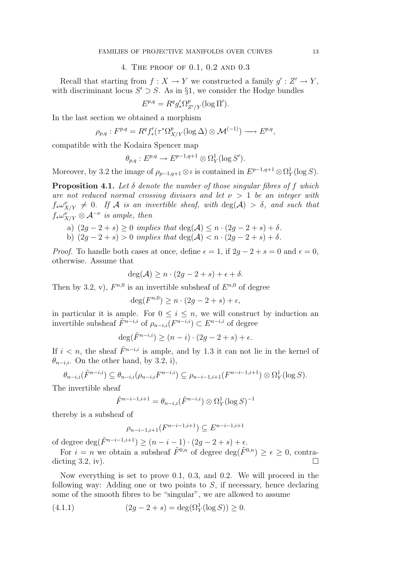### 4. The proof of 0.1, 0.2 and 0.3

Recall that starting from  $f: X \to Y$  we constructed a family  $g' : Z' \to Y$ , with discriminant locus  $S' \supset S$ . As in §1, we consider the Hodge bundles

$$
E^{p,q} = R^q g'_* \Omega^p_{Z'/Y} (\log \Pi').
$$

In the last section we obtained a morphism

$$
\rho_{p,q}: F^{p,q}=R^qf'_*(\tau^*\Omega^p_{X/Y}(\log\Delta)\otimes \mathcal{M}^{(-1)})\longrightarrow E^{p,q},
$$

compatible with the Kodaira Spencer map

$$
\theta_{p,q}: E^{p,q} \to E^{p-1,q+1} \otimes \Omega^1_Y(\log S').
$$

Moreover, by 3.2 the image of  $\rho_{p-1,q+1} \otimes \iota$  is contained in  $E^{p-1,q+1} \otimes \Omega^1_Y(\log S)$ .

**Proposition 4.1.** Let  $\delta$  denote the number of those singular fibres of f which are not reduced normal crossing divisors and let  $\nu > 1$  be an integer with  $f_*\omega^{\nu}_{X/Y} \neq 0$ . If A is an invertible sheaf, with  $deg(\mathcal{A}) > \delta$ , and such that  $f_*\omega_{X/Y}^{\nu'}\otimes A^{-\nu}$  is ample, then

- a)  $(2g 2 + s) \ge 0$  implies that  $\deg(\mathcal{A}) \le n \cdot (2g 2 + s) + \delta$ .
- b)  $(2q 2 + s) > 0$  implies that  $deg(\mathcal{A}) < n \cdot (2q 2 + s) + \delta$ .

*Proof.* To handle both cases at once, define  $\epsilon = 1$ , if  $2q - 2 + s = 0$  and  $\epsilon = 0$ , otherwise. Assume that

$$
\deg(\mathcal{A}) \ge n \cdot (2g - 2 + s) + \epsilon + \delta.
$$

Then by 3.2, v),  $F^{n,0}$  is an invertible subsheaf of  $E^{n,0}$  of degree

$$
\deg(F^{n,0}) \ge n \cdot (2g - 2 + s) + \epsilon,
$$

in particular it is ample. For  $0 \leq i \leq n$ , we will construct by induction an invertible subsheaf  $\tilde{F}^{n-i,i}$  of  $\rho_{n-i,i}(\overline{F}^{n-i,i}) \subset E^{n-i,i}$  of degree

$$
\deg(\tilde{F}^{n-i,i}) \ge (n-i) \cdot (2g-2+s) + \epsilon.
$$

If  $i < n$ , the sheaf  $\tilde{F}^{n-i,i}$  is ample, and by 1.3 it can not lie in the kernel of  $\theta_{n-i,i}$ . On the other hand, by 3.2, i),

$$
\theta_{n-i,i}(\tilde{F}^{n-i,i}) \subseteq \theta_{n-i,i}(\rho_{n-i,i}F^{n-i,i}) \subseteq \rho_{n-i-1,i+1}(F^{n-i-1,i+1}) \otimes \Omega^1_Y(\log S).
$$

The invertible sheaf

$$
\tilde{F}^{n-i-1,i+1} = \theta_{n-i,i}(\tilde{F}^{n-i,i}) \otimes \Omega^1_Y(\log S)^{-1}
$$

thereby is a subsheaf of

$$
\rho_{n-i-1,i+1}(F^{n-i-1,i+1}) \subseteq E^{n-i-1,i+1}
$$

of degree deg( $\tilde{F}^{n-i-1,i+1}$ ) ≥  $(n-i-1) \cdot (2g-2+s) + \epsilon$ .

For  $i = n$  we obtain a subsheaf  $\tilde{F}^{0,n}$  of degree  $\deg(\tilde{F}^{0,n}) \geq \epsilon \geq 0$ , contradicting  $3.2$ , iv).

Now everything is set to prove 0.1, 0.3, and 0.2. We will proceed in the following way: Adding one or two points to  $S$ , if necessary, hence declaring some of the smooth fibres to be "singular", we are allowed to assume

(4.1.1) 
$$
(2g - 2 + s) = \deg(\Omega_Y^1(\log S)) \ge 0.
$$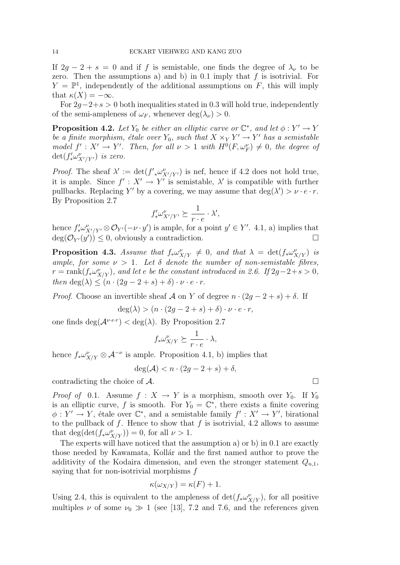If  $2g - 2 + s = 0$  and if f is semistable, one finds the degree of  $\lambda_{\nu}$  to be zero. Then the assumptions a) and b) in 0.1 imply that  $f$  is isotrivial. For  $Y = \mathbb{P}^1$ , independently of the additional assumptions on F, this will imply that  $\kappa(X) = -\infty$ .

For  $2q-2+s>0$  both inequalities stated in 0.3 will hold true, independently of the semi-ampleness of  $\omega_F$ , whenever  $\deg(\lambda_\nu) > 0$ .

**Proposition 4.2.** Let  $Y_0$  be either an elliptic curve or  $\mathbb{C}^*$ , and let  $\phi: Y' \to Y$ be a finite morphism, étale over  $Y_0$ , such that  $X \times_Y Y' \to Y'$  has a semistable model  $f' : X' \to Y'$ . Then, for all  $\nu > 1$  with  $H^0(F, \omega_F^{\nu}) \neq 0$ , the degree of  $\det(f'_* \omega^{\nu}_{X'/Y'})$  is zero.

*Proof.* The sheaf  $\lambda' := \det(f'_{*}\omega^{\nu}_{X'/Y'})$  is nef, hence if 4.2 does not hold true, it is ample. Since  $f' : X' \to Y'$  is semistable,  $\lambda'$  is compatible with further pullbacks. Replacing Y' by a covering, we may assume that  $\deg(\lambda') > \nu \cdot e \cdot r$ . By Proposition 2.7

$$
f'_* \omega^{\nu}_{X'/Y'} \succeq \frac{1}{r \cdot e} \cdot \lambda',
$$

hence  $f'_* \omega^{\nu}_{X'/Y'} \otimes \mathcal{O}_{Y'}(-\nu \cdot y')$  is ample, for a point  $y' \in Y'$ . 4.1, a) implies that  $deg(\mathcal{O}_{Y'}(y')) \leq 0$ , obviously a contradiction.

**Proposition 4.3.** Assume that  $f_* \omega_{X/Y}^{\nu} \neq 0$ , and that  $\lambda = \det(f_* \omega_{X/Y}^{\nu})$  is ample, for some  $\nu > 1$ . Let  $\delta$  denote the number of non-semistable fibres,  $r = \text{rank}(f_* \omega_{X/Y}^{\nu}),$  and let e be the constant introduced in 2.6. If  $2g-2+s > 0$ , then deg( $\lambda$ )  $\leq (n \cdot (2g - 2 + s) + \delta) \cdot \nu \cdot e \cdot r$ .

*Proof.* Choose an invertible sheaf A on Y of degree  $n \cdot (2g - 2 + s) + \delta$ . If

$$
deg(\lambda) > (n \cdot (2g - 2 + s) + \delta) \cdot \nu \cdot e \cdot r,
$$

one finds  $\deg(\mathcal{A}^{\nu \cdot e \cdot r}) < \deg(\lambda)$ . By Proposition 2.7

$$
f_* \omega_{X/Y}^{\nu} \succeq \frac{1}{r \cdot e} \cdot \lambda,
$$

hence  $f_*\omega^{\nu}_{X/Y} \otimes \mathcal{A}^{-\nu}$  is ample. Proposition 4.1, b) implies that

$$
\deg(\mathcal{A}) < n \cdot (2g - 2 + s) + \delta,
$$

contradicting the choice of A.

*Proof of* 0.1. Assume  $f : X \to Y$  is a morphism, smooth over  $Y_0$ . If  $Y_0$ is an elliptic curve, f is smooth. For  $Y_0 = \mathbb{C}^*$ , there exists a finite covering  $\phi: Y' \to Y$ , étale over  $\mathbb{C}^*$ , and a semistable family  $f': X' \to Y'$ , birational to the pullback of f. Hence to show that f is isotrivial, 4.2 allows to assume that  $\deg(\det(f_*\omega^{\nu}_{X/Y})) = 0$ , for all  $\nu > 1$ .

The experts will have noticed that the assumption a) or b) in 0.1 are exactly those needed by Kawamata, Kollár and the first named author to prove the additivity of the Kodaira dimension, and even the stronger statement  $Q_{n,1}$ , saying that for non-isotrivial morphisms  $f$ 

$$
\kappa(\omega_{X/Y}) = \kappa(F) + 1.
$$

Using 2.4, this is equivalent to the ampleness of  $\det(f_*\omega^{\nu}_{X/Y})$ , for all positive multiples  $\nu$  of some  $\nu_0 \gg 1$  (see [13], 7.2 and 7.6, and the references given

$$
\qquad \qquad \Box
$$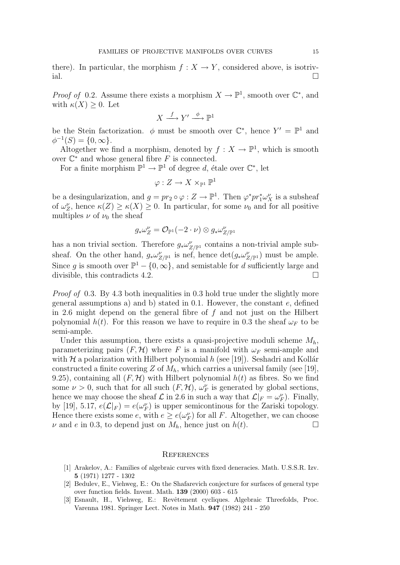there). In particular, the morphism  $f: X \to Y$ , considered above, is isotrivial.

*Proof of* 0.2. Assume there exists a morphism  $X \to \mathbb{P}^1$ , smooth over  $\mathbb{C}^*$ , and with  $\kappa(X) \geq 0$ . Let

$$
X \xrightarrow{f} Y' \xrightarrow{\phi} \mathbb{P}^1
$$

be the Stein factorization.  $\phi$  must be smooth over  $\mathbb{C}^*$ , hence  $Y' = \mathbb{P}^1$  and  $\phi^{-1}(S) = \{0, \infty\}.$ 

Altogether we find a morphism, denoted by  $f: X \to \mathbb{P}^1$ , which is smooth over  $\mathbb{C}^*$  and whose general fibre F is connected.

For a finite morphism  $\mathbb{P}^1 \to \mathbb{P}^1$  of degree d, étale over  $\mathbb{C}^*$ , let

$$
\varphi:Z\to X\times_{\mathbb{P}^1}\mathbb{P}^1
$$

be a desingularization, and  $g = pr_2 \circ \varphi : Z \to \mathbb{P}^1$ . Then  $\varphi^* pr_1^* \omega_X^{\nu}$  is a subsheaf of  $\omega_Z^{\nu}$ , hence  $\kappa(Z) \geq \kappa(X) \geq 0$ . In particular, for some  $\nu_0$  and for all positive multiples  $\nu$  of  $\nu_0$  the sheaf

$$
g_*\omega_Z^{\nu}=\mathcal{O}_{\mathbb{P}^1}(-2\cdot \nu)\otimes g_*\omega_{Z/\mathbb{P}^1}^{\nu}
$$

has a non trivial section. Therefore  $g_*\omega^{\nu}_{Z/\mathbb{P}^1}$  contains a non-trivial ample subsheaf. On the other hand,  $g_*\omega^{\nu}_{Z/\mathbb{P}^1}$  is nef, hence  $\det(g_*\omega^{\nu}_{Z/\mathbb{P}^1})$  must be ample. Since g is smooth over  $\mathbb{P}^1 - \{0, \infty\}$ , and semistable for d sufficiently large and divisible, this contradicts 4.2.

Proof of 0.3. By 4.3 both inequalities in 0.3 hold true under the slightly more general assumptions a) and b) stated in 0.1. However, the constant  $e$ , defined in 2.6 might depend on the general fibre of  $f$  and not just on the Hilbert polynomial  $h(t)$ . For this reason we have to require in 0.3 the sheaf  $\omega_F$  to be semi-ample.

Under this assumption, there exists a quasi-projective moduli scheme  $M_h$ , parameterizing pairs  $(F, \mathcal{H})$  where F is a manifold with  $\omega_F$  semi-ample and with  $\mathcal H$  a polarization with Hilbert polynomial h (see [19]). Seshadri and Kollár constructed a finite covering Z of  $M_h$ , which carries a universal family (see [19], 9.25), containing all  $(F, H)$  with Hilbert polynomial  $h(t)$  as fibres. So we find some  $\nu > 0$ , such that for all such  $(F, \mathcal{H})$ ,  $\omega_F^{\nu}$  is generated by global sections, hence we may choose the sheaf  $\mathcal L$  in 2.6 in such a way that  $\mathcal L|_F = \omega_F^{\nu}$ . Finally, by [19], 5.17,  $e(\mathcal{L}|_F) = e(\omega_F^{\nu})$  is upper semicontinous for the Zariski topology. Hence there exists some e, with  $e \ge e(\omega_F^{\nu})$  for all F. Altogether, we can choose  $\nu$  and e in 0.3, to depend just on  $M_h$ , hence just on  $h(t)$ .

#### **REFERENCES**

- [1] Arakelov, A.: Families of algebraic curves with fixed deneracies. Math. U.S.S.R. Izv. 5 (1971) 1277 - 1302
- [2] Bedulev, E., Viehweg, E.: On the Shafarevich conjecture for surfaces of general type over function fields. Invent. Math. 139 (2000) 603 - 615
- [3] Esnault, H., Viehweg, E.: Revêtement cycliques. Algebraic Threefolds, Proc. Varenna 1981. Springer Lect. Notes in Math. 947 (1982) 241 - 250